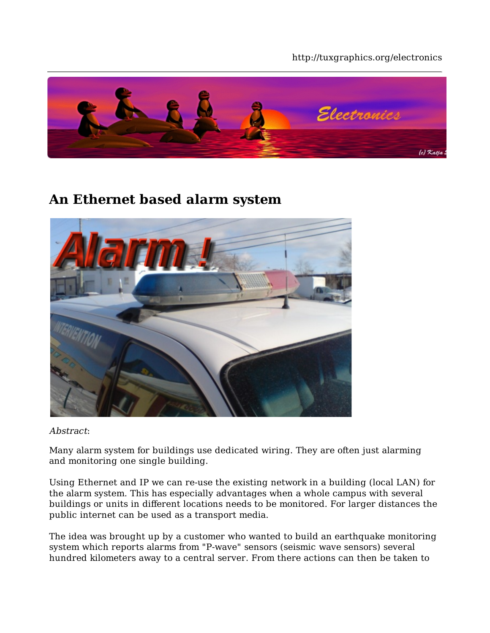#### http://tuxgraphics.org/electronics



## **An Ethernet based alarm system**



Abstract:

Many alarm system for buildings use dedicated wiring. They are often just alarming and monitoring one single building.

Using Ethernet and IP we can re-use the existing network in a building (local LAN) for the alarm system. This has especially advantages when a whole campus with several buildings or units in different locations needs to be monitored. For larger distances the public internet can be used as a transport media.

The idea was brought up by a customer who wanted to build an earthquake monitoring system which reports alarms from "P-wave" sensors (seismic wave sensors) several hundred kilometers away to a central server. From there actions can then be taken to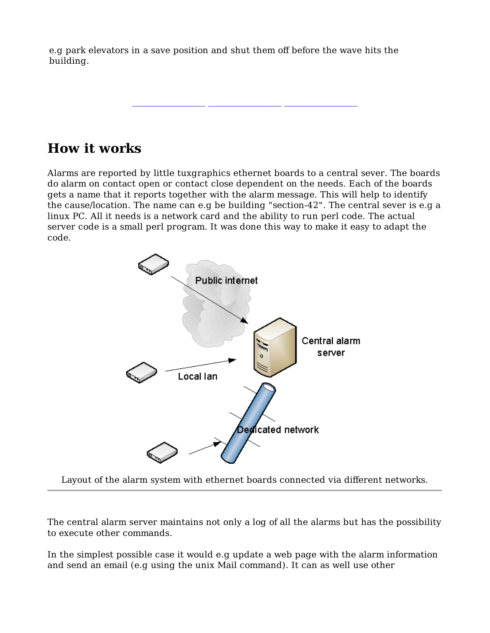e.g park elevators in a save position and shut them off before the wave hits the building.

#### **How it works**

Alarms are reported by little tuxgraphics ethernet boards to a central sever. The boards do alarm on contact open or contact close dependent on the needs. Each of the boards gets a name that it reports together with the alarm message. This will help to identify the cause/location. The name can e.g be building "section-42". The central sever is e.g a linux PC. All it needs is a network card and the ability to run perl code. The actual server code is a small perl program. It was done this way to make it easy to adapt the code.

**\_\_\_\_\_\_\_\_\_\_\_\_\_\_\_\_\_ \_\_\_\_\_\_\_\_\_\_\_\_\_\_\_\_\_ \_\_\_\_\_\_\_\_\_\_\_\_\_\_\_\_\_**



Layout of the alarm system with ethernet boards connected via different networks.

The central alarm server maintains not only a log of all the alarms but has the possibility to execute other commands.

In the simplest possible case it would e.g update a web page with the alarm information and send an email (e.g using the unix Mail command). It can as well use other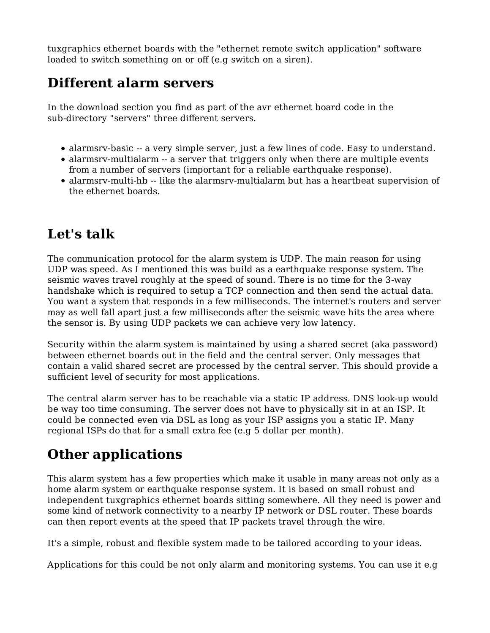tuxgraphics ethernet boards with the "ethernet remote switch application" software loaded to switch something on or off (e.g switch on a siren).

## **Different alarm servers**

In the download section you find as part of the avr ethernet board code in the sub-directory "servers" three different servers.

- alarmsrv-basic -- a very simple server, just a few lines of code. Easy to understand.
- alarmsrv-multialarm -- a server that triggers only when there are multiple events from a number of servers (important for a reliable earthquake response).
- alarmsrv-multi-hb -- like the alarmsrv-multialarm but has a heartbeat supervision of the ethernet boards.

## **Let's talk**

The communication protocol for the alarm system is UDP. The main reason for using UDP was speed. As I mentioned this was build as a earthquake response system. The seismic waves travel roughly at the speed of sound. There is no time for the 3-way handshake which is required to setup a TCP connection and then send the actual data. You want a system that responds in a few milliseconds. The internet's routers and server may as well fall apart just a few milliseconds after the seismic wave hits the area where the sensor is. By using UDP packets we can achieve very low latency.

Security within the alarm system is maintained by using a shared secret (aka password) between ethernet boards out in the field and the central server. Only messages that contain a valid shared secret are processed by the central server. This should provide a sufficient level of security for most applications.

The central alarm server has to be reachable via a static IP address. DNS look-up would be way too time consuming. The server does not have to physically sit in at an ISP. It could be connected even via DSL as long as your ISP assigns you a static IP. Many regional ISPs do that for a small extra fee (e.g 5 dollar per month).

# **Other applications**

This alarm system has a few properties which make it usable in many areas not only as a home alarm system or earthquake response system. It is based on small robust and independent tuxgraphics ethernet boards sitting somewhere. All they need is power and some kind of network connectivity to a nearby IP network or DSL router. These boards can then report events at the speed that IP packets travel through the wire.

It's a simple, robust and flexible system made to be tailored according to your ideas.

Applications for this could be not only alarm and monitoring systems. You can use it e.g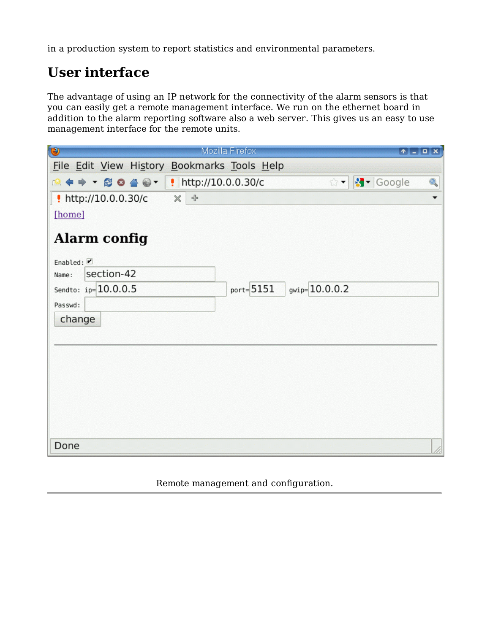in a production system to report statistics and environmental parameters.

# **User interface**

The advantage of using an IP network for the connectivity of the alarm sensors is that you can easily get a remote management interface. We run on the ethernet board in addition to the alarm reporting software also a web server. This gives us an easy to use management interface for the remote units.

| $\circ$<br>Mozilla Firefox                                                                                                             |   |
|----------------------------------------------------------------------------------------------------------------------------------------|---|
| File Edit View History Bookmarks Tools Help                                                                                            |   |
| $  \cdot  $ Google<br>$\mathbf{R} \Leftrightarrow \mathbf{R} \otimes \mathbf{R} \otimes \mathbf{R}$<br>☆▼                              | Q |
| $\frac{1}{4}$<br>http://10.0.0.30/c<br>$\mathbb X$                                                                                     |   |
| [home]                                                                                                                                 |   |
| <b>Alarm config</b><br>Enabled:<br>section-42<br>Name:<br>gwip=10.0.0.2<br>Sendto: $ip=10.0.0.5$<br>$port = 5151$<br>Passwd:<br>change |   |
|                                                                                                                                        |   |
|                                                                                                                                        |   |
|                                                                                                                                        |   |
| Done                                                                                                                                   |   |

Remote management and configuration.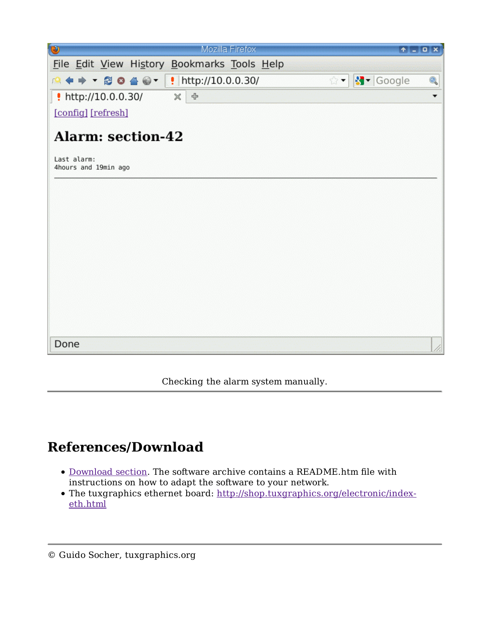| $\circ$<br>Mozilla Firefox                       |                            |                          |
|--------------------------------------------------|----------------------------|--------------------------|
| File Edit View History Bookmarks Tools Help      |                            |                          |
|                                                  | ☆▼ <mark>제</mark> ▼ Google | Q                        |
| http://10.0.0.30/<br>$\mathbb X$<br>$\triangleq$ |                            | $\overline{\phantom{a}}$ |
| [config] [refresh]                               |                            |                          |
| <b>Alarm: section-42</b>                         |                            |                          |
| Last alarm:<br>4hours and 19min ago              |                            |                          |
|                                                  |                            |                          |
|                                                  |                            |                          |
|                                                  |                            |                          |
|                                                  |                            |                          |
|                                                  |                            |                          |
|                                                  |                            |                          |
|                                                  |                            |                          |
|                                                  |                            |                          |
| Done                                             |                            |                          |

Checking the alarm system manually.

## **References/Download**

- Download section. The software archive contains a README.htm file with instructions on how to adapt the software to your network.
- The tuxgraphics ethernet board: http://shop.tuxgraphics.org/electronic/indexeth.html

<sup>©</sup> Guido Socher, tuxgraphics.org